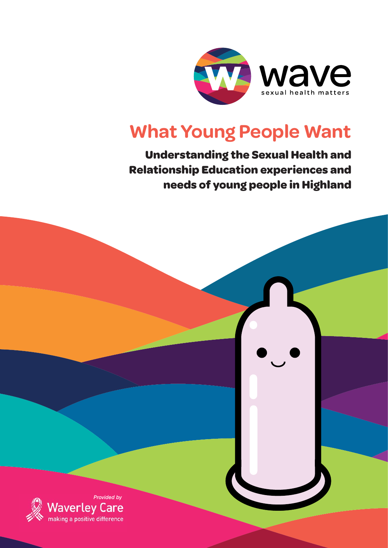

## **What Young People Want**

**Understanding the Sexual Health and Relationship Education experiences and needs of young people in Highland**

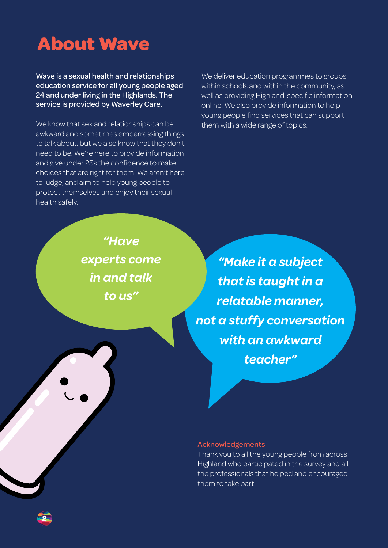## **About Wave**

Wave is a sexual health and relationships education service for all young people aged 24 and under living in the Highlands. The service is provided by Waverley Care.

We know that sex and relationships can be awkward and sometimes embarrassing things to talk about, but we also know that they don't need to be. We're here to provide information and give under 25s the confidence to make choices that are right for them. We aren't here to judge, and aim to help young people to protect themselves and enjoy their sexual health safely.

We deliver education programmes to groups within schools and within the community, as well as providing Highland-specific information online. We also provide information to help young people find services that can support them with a wide range of topics.

*"Have experts come in and talk to us"*

**2**

*"Make it a subject that is taught in a relatable manner, not a stuffy conversation with an awkward teacher"*

#### Acknowledgements

Thank you to all the young people from across Highland who participated in the survey and all the professionals that helped and encouraged them to take part.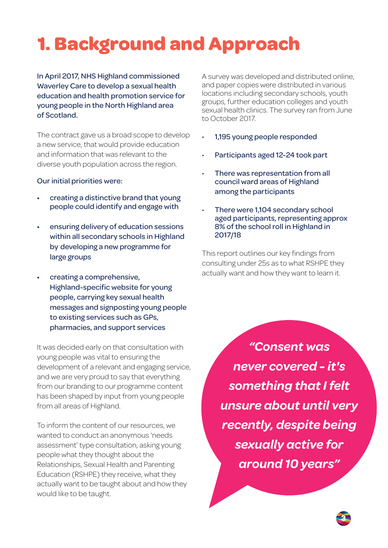# **1. Background and Approach**

In April 2017, NHS Highland commissioned Waverley Care to develop a sexual health education and health promotion service for young people in the North Highland area of Scotland.

The contract gave us a broad scope to develop a new service, that would provide education and information that was relevant to the diverse youth population across the region.

#### Our initial priorities were:

- creating a distinctive brand that young people could identify and engage with
- ensuring delivery of education sessions within all secondary schools in Highland by developing a new programme for large groups
- creating a comprehensive, Highland-specific website for young people, carrying key sexual health messages and signposting young people to existing services such as GPs, pharmacies, and support services

It was decided early on that consultation with young people was vital to ensuring the development of a relevant and engaging service, and we are very proud to say that everything from our branding to our programme content has been shaped by input from young people from all areas of Highland.

To inform the content of our resources, we wanted to conduct an anonymous 'needs assessment' type consultation, asking young people what they thought about the Relationships, Sexual Health and Parenting Education (RSHPE) they receive, what they actually want to be taught about and how they would like to be taught.

A survey was developed and distributed online, and paper copies were distributed in various locations including secondary schools, youth groups, further education colleges and youth sexual health clinics. The survey ran from June to October 2017.

- 1,195 young people responded
- Participants aged 12-24 took part
- There was representation from all council ward areas of Highland among the participants
- There were 1,104 secondary school aged participants, representing approx 8% of the school roll in Highland in 2017/18

This report outlines our key findings from consulting under 25s as to what RSHPE they actually want and how they want to learn it.

> *"Consent was never covered - it's something that I felt unsure about until very recently, despite being sexually active for around 10 years"*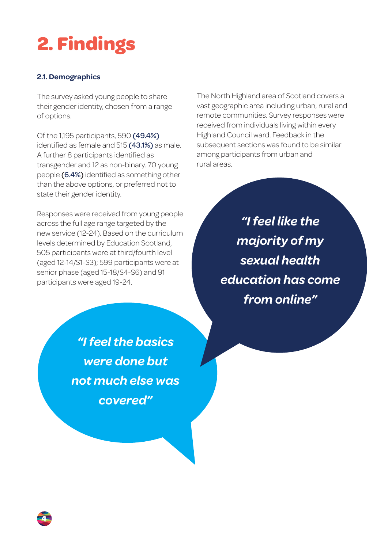# **2. Findings**

### **2.1. Demographics**

The survey asked young people to share their gender identity, chosen from a range of options.

Of the 1,195 participants, 590 (49.4%) identified as female and 515 (43.1%) as male. A further 8 participants identified as transgender and 12 as non-binary. 70 young people (6.4%) identified as something other than the above options, or preferred not to state their gender identity.

Responses were received from young people across the full age range targeted by the new service (12-24). Based on the curriculum levels determined by Education Scotland, 505 participants were at third/fourth level (aged 12-14/S1-S3); 599 participants were at senior phase (aged 15-18/S4-S6) and 91 participants were aged 19-24.

The North Highland area of Scotland covers a vast geographic area including urban, rural and remote communities. Survey responses were received from individuals living within every Highland Council ward. Feedback in the subsequent sections was found to be similar among participants from urban and rural areas.

> *"I feel like the majority of my sexual health education has come from online"*

*"I feel the basics were done but not much else was covered"*

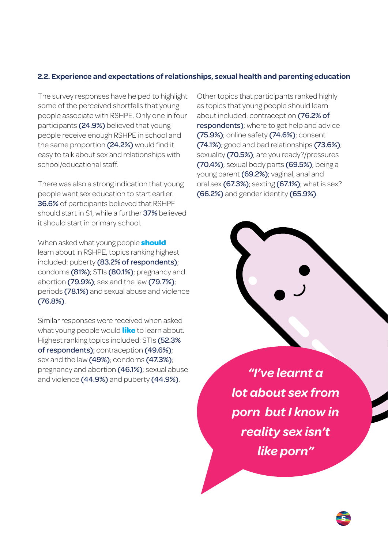#### **2.2. Experience and expectations of relationships, sexual health and parenting education**

The survey responses have helped to highlight some of the perceived shortfalls that young people associate with RSHPE. Only one in four participants (24.9%) believed that young people receive enough RSHPE in school and the same proportion (24.2%) would find it easy to talk about sex and relationships with school/educational staff.

There was also a strong indication that young people want sex education to start earlier. 36.6% of participants believed that RSHPE should start in S1, while a further 37% believed it should start in primary school.

When asked what young people **should** learn about in RSHPE, topics ranking highest included: puberty (83.2% of respondents); condoms (81%); STIs (80.1%); pregnancy and abortion (79.9%); sex and the law (79.7%); periods (78.1%) and sexual abuse and violence (76.8%).

Similar responses were received when asked what young people would **like** to learn about. Highest ranking topics included: STIs (52.3% of respondents); contraception (49.6%); sex and the law (49%); condoms (47.3%); pregnancy and abortion (46.1%); sexual abuse and violence (44.9%) and puberty (44.9%).

Other topics that participants ranked highly as topics that young people should learn about included: contraception (76.2% of respondents); where to get help and advice (75.9%); online safety (74.6%); consent (74.1%); good and bad relationships (73.6%); sexuality (70.5%); are you ready?/pressures (70.4%); sexual body parts (69.5%); being a young parent (69.2%); vaginal, anal and oral sex (67.3%); sexting (67.1%); what is sex? (66.2%) and gender identity (65.9%).

> *"I've learnt a lot about sex from porn but I know in reality sex isn't like porn"*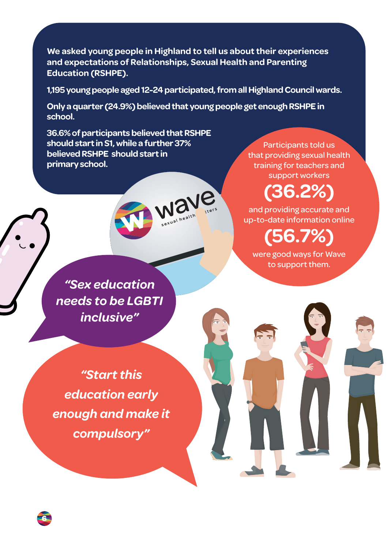**We asked young people in Highland to tell us about their experiences and expectations of Relationships, Sexual Health and Parenting Education (RSHPE).** 

**1,195 young people aged 12-24 participated, from all Highland Council wards.**

**Only a quarter (24.9%) believed that young people get enough RSHPE in school.**

**36.6% of participants believed that RSHPE should start in S1, while a further 37% believed RSHPE should start in primary school.**

Participants told us that providing sexual health training for teachers and support workers

**(36.2%)**

and providing accurate and up-to-date information online

**(56.7%)**

were good ways for Wave to support them.

*"Sex education needs to be LGBTI inclusive"*

*"Start this education early enough and make it compulsory"*

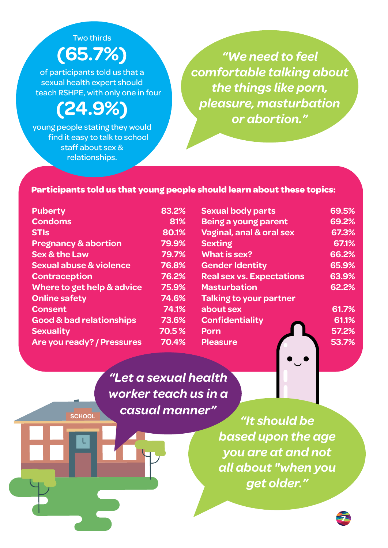### Two thirds

## **(65.7%)**

of participants told us that a sexual health expert should teach RSHPE, with only one in four

### **(24.9%)**

young people stating they would find it easy to talk to school staff about sex & relationships.

### *"We need to feel comfortable talking about the things like porn, pleasure, masturbation or abortion."*

### **Participants told us that young people should learn about these topics:**

| <b>Puberty</b>                      | 83.2% |
|-------------------------------------|-------|
| <b>Condoms</b>                      | 81%   |
| <b>STIs</b>                         | 80.1% |
| <b>Pregnancy &amp; abortion</b>     | 79.9% |
| Sex & the Law                       | 79.7% |
| <b>Sexual abuse &amp; violence</b>  | 76.8% |
| <b>Contraception</b>                | 76.2% |
| Where to get help & advice          | 75.9% |
| <b>Online safety</b>                | 74.6% |
| <b>Consent</b>                      | 74.1% |
| <b>Good &amp; bad relationships</b> | 73.6% |
| <b>Sexuality</b>                    | 70.5% |
| <b>Are you ready? / Pressures</b>   | 70.4% |

**SCHOOL**

| <b>Sexual body parts</b>            | 69.5% |
|-------------------------------------|-------|
| <b>Being a young parent</b>         | 69.2% |
| <b>Vaginal, anal &amp; oral sex</b> | 67.3% |
| <b>Sexting</b>                      | 67.1% |
| What is sex?                        | 66.2% |
| <b>Gender Identity</b>              | 65.9% |
| <b>Real sex vs. Expectations</b>    | 63.9% |
| <b>Masturbation</b>                 | 62.2% |
| <b>Talking to your partner</b>      |       |
| about sex                           | 61.7% |
| <b>Confidentiality</b>              | 61.1% |
| Porn                                | 57.2% |
| <b>Pleasure</b>                     | 53.7% |

### *"Let a sexual health worker teach us in a casual manner"*

*"It should be based upon the age you are at and not all about "when you get older."*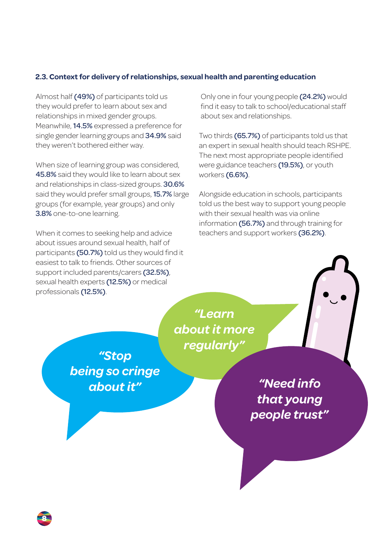#### **2.3. Context for delivery of relationships, sexual health and parenting education**

Almost half (49%) of participants told us they would prefer to learn about sex and relationships in mixed gender groups. Meanwhile, 14.5% expressed a preference for single gender learning groups and 34.9% said they weren't bothered either way.

When size of learning group was considered, 45.8% said they would like to learn about sex and relationships in class-sized groups. 30.6% said they would prefer small groups, 15.7% large groups (for example, year groups) and only 3.8% one-to-one learning.

When it comes to seeking help and advice about issues around sexual health, half of participants (50.7%) told us they would find it easiest to talk to friends. Other sources of support included parents/carers (32.5%), sexual health experts (12.5%) or medical professionals (12.5%).

Only one in four young people (24.2%) would find it easy to talk to school/educational staff about sex and relationships.

Two thirds (65.7%) of participants told us that an expert in sexual health should teach RSHPE. The next most appropriate people identified were guidance teachers (19.5%), or youth workers (6.6%).

Alongside education in schools, participants told us the best way to support young people with their sexual health was via online information (56.7%) and through training for teachers and support workers (36.2%).

*"Learn about it more regularly"*

*"Stop being so cringe about it"*

*"Need info that young people trust"*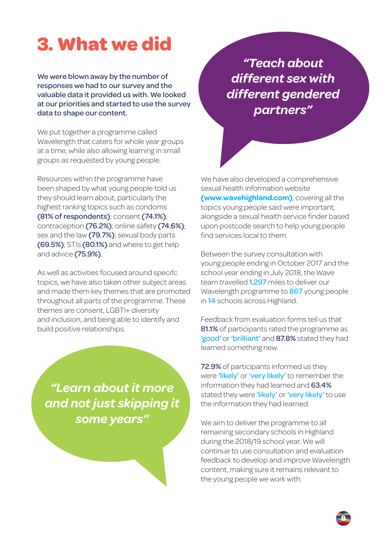## **3. What we did**

We were blown away by the number of responses we had to our survey and the valuable data it provided us with. We looked at our priorities and started to use the survey data to shape our content.

We put together a programme called Wavelength that caters for whole year groups at a time, while also allowing learning in small groups as requested by young people.

Resources within the programme have been shaped by what young people told us they should learn about, particularly the highest ranking topics such as condoms (81% of respondents); consent (74.1%); contraception (76.2%); online safety (74.6%); sex and the law (79.7%); sexual body parts (69.5%); STIs (80.1%) and where to get help and advice (75.9%).

As well as activities focused around specifc topics, we have also taken other subject areas and made them key themes that are promoted throughout all parts of the programme. These themes are consent, LGBTI+ diversity and inclusion, and being able to identify and build positive relationships.

*"Learn about it more and not just skipping it some years"*

*"Teach about different sex with different gendered partners"* 

We have also developed a comprehensive sexual health information website **(www.wavehighland.com)**, covering all the topics young people said were important, alongside a sexual health service finder based upon postcode search to help young people find services local to them.

Between the survey consultation with young people ending in October 2017 and the school year ending in July 2018, the Wave team travelled 1.297 miles to deliver our Wavelength programme to 867 young people in 14 schools across Highland.

Feedback from evaluation forms tell us that 81.1% of participants rated the programme as 'good' or 'brilliant' and 87.8% stated they had learned something new.

**72.9%** of participants informed us they were 'likely' or 'very likely' to remember the information they had learned and 63.4% stated they were 'likely' or 'very likely' to use the information they had learned.

We aim to deliver the programme to all remaining secondary schools in Highland during the 2018/19 school year. We will continue to use consultation and evaluation feedback to develop and improve Wavelength content, making sure it remains relevant to the young people we work with.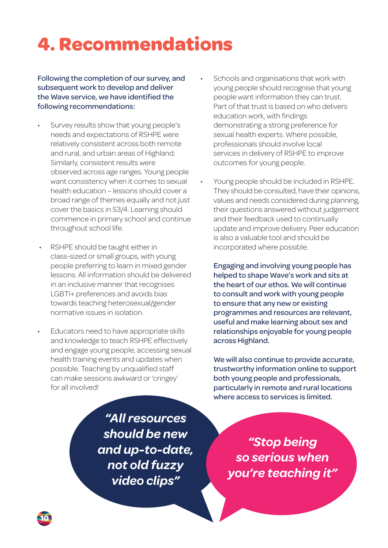# **4. Recommendations**

Following the completion of our survey, and subsequent work to develop and deliver the Wave service, we have identified the following recommendations:

- Survey results show that young people's needs and expectations of RSHPE were relatively consistent across both remote and rural, and urban areas of Highland. Similarly, consistent results were observed across age ranges. Young people want consistency when it comes to sexual health education – lessons should cover a broad range of themes equally and not just cover the basics in S3/4. Learning should commence in primary school and continue throughout school life.
- RSHPE should be taught either in class-sized or small groups, with young people preferring to learn in mixed gender lessons. All information should be delivered in an inclusive manner that recognises LGBTI+ preferences and avoids bias towards teaching heterosexual/gender normative issues in isolation.
- Educators need to have appropriate skills and knowledge to teach RSHPE effectively and engage young people, accessing sexual health training events and updates when possible. Teaching by unqualified staff can make sessions awkward or 'cringey' for all involved!

**10**

- Schools and organisations that work with young people should recognise that young people want information they can trust. Part of that trust is based on who delivers education work, with findings demonstrating a strong preference for sexual health experts. Where possible, professionals should involve local services in delivery of RSHPE to improve outcomes for young people.
- Young people should be included in RSHPE. They should be consulted, have their opinions, values and needs considered during planning, their questions answered without judgement and their feedback used to continually update and improve delivery. Peer education is also a valuable tool and should be incorporated where possible.

Engaging and involving young people has helped to shape Wave's work and sits at the heart of our ethos. We will continue to consult and work with young people to ensure that any new or existing programmes and resources are relevant, useful and make learning about sex and relationships enjoyable for young people across Highland.

We will also continue to provide accurate, trustworthy information online to support both young people and professionals, particularly in remote and rural locations where access to services is limited.

*"All resources should be new and up-to-date, not old fuzzy video clips"* 

*"Stop being so serious when you're teaching it"*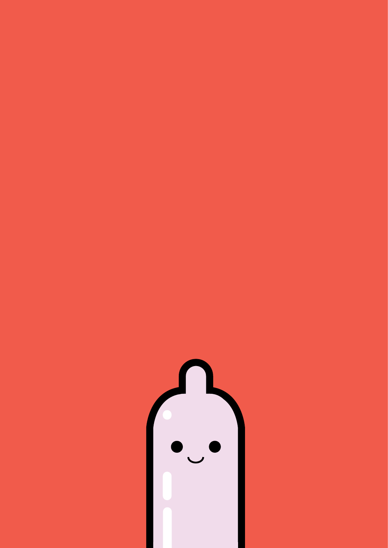